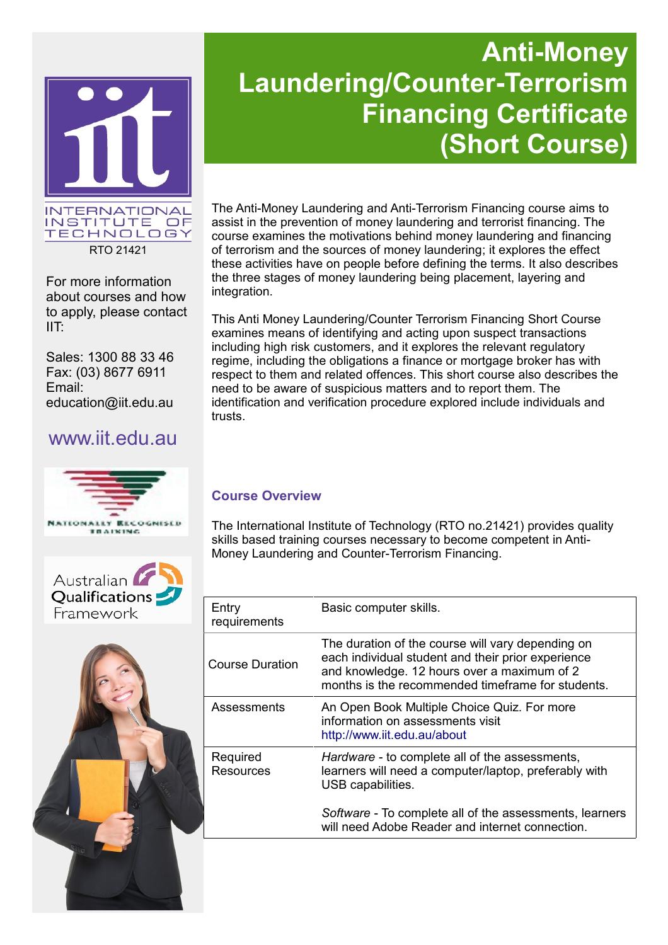

RTO 21421

For more information about courses and how to apply, please contact IIT:

Sales: 1300 88 33 46 Fax: (03) 8677 6911 Email: education@iit.edu.au

## www.iit.edu.au







# **Anti-Money Laundering/Counter-Terrorism Financing Certificate (Short Course)**

The Anti-Money Laundering and Anti-Terrorism Financing course aims to assist in the prevention of money laundering and terrorist financing. The course examines the motivations behind money laundering and financing of terrorism and the sources of money laundering; it explores the effect these activities have on people before defining the terms. It also describes the three stages of money laundering being placement, layering and integration.

This Anti Money Laundering/Counter Terrorism Financing Short Course examines means of identifying and acting upon suspect transactions including high risk customers, and it explores the relevant regulatory regime, including the obligations a finance or mortgage broker has with respect to them and related offences. This short course also describes the need to be aware of suspicious matters and to report them. The identification and verification procedure explored include individuals and trusts.

### **Course Overview**

The International Institute of Technology (RTO no.21421) provides quality skills based training courses necessary to become competent in Anti-Money Laundering and Counter-Terrorism Financing.

| Entry<br>requirements | Basic computer skills.                                                                                                                                                                                      |
|-----------------------|-------------------------------------------------------------------------------------------------------------------------------------------------------------------------------------------------------------|
| Course Duration       | The duration of the course will vary depending on<br>each individual student and their prior experience<br>and knowledge. 12 hours over a maximum of 2<br>months is the recommended timeframe for students. |
| Assessments           | An Open Book Multiple Choice Quiz. For more<br>information on assessments visit<br>http://www.iit.edu.au/about                                                                                              |
| Required<br>Resources | Hardware - to complete all of the assessments,<br>learners will need a computer/laptop, preferably with<br>USB capabilities.                                                                                |
|                       | Software - To complete all of the assessments, learners<br>will need Adobe Reader and internet connection.                                                                                                  |